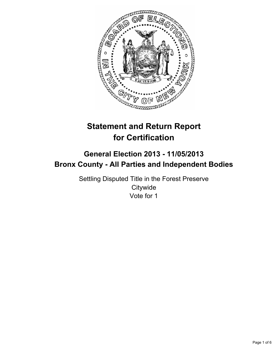

# **Statement and Return Report for Certification**

# **General Election 2013 - 11/05/2013 Bronx County - All Parties and Independent Bodies**

Settling Disputed Title in the Forest Preserve **Citywide** Vote for 1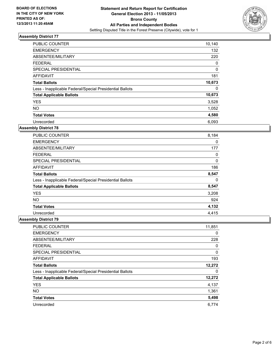

| <b>PUBLIC COUNTER</b>                                    | 10,140   |
|----------------------------------------------------------|----------|
| <b>EMERGENCY</b>                                         | 132      |
| ABSENTEE/MILITARY                                        | 220      |
| <b>FEDERAL</b>                                           | 0        |
| SPECIAL PRESIDENTIAL                                     | $\Omega$ |
| AFFIDAVIT                                                | 181      |
| <b>Total Ballots</b>                                     | 10,673   |
| Less - Inapplicable Federal/Special Presidential Ballots | 0        |
| <b>Total Applicable Ballots</b>                          | 10,673   |
| <b>YES</b>                                               | 3,528    |
| <b>NO</b>                                                | 1,052    |
| <b>Total Votes</b>                                       | 4,580    |
| Unrecorded                                               | 6,093    |

### **Assembly District 78**

| <b>PUBLIC COUNTER</b>                                    | 8,184 |
|----------------------------------------------------------|-------|
| <b>EMERGENCY</b>                                         | 0     |
| ABSENTEE/MILITARY                                        | 177   |
| <b>FEDERAL</b>                                           | 0     |
| <b>SPECIAL PRESIDENTIAL</b>                              | 0     |
| AFFIDAVIT                                                | 186   |
| <b>Total Ballots</b>                                     | 8,547 |
| Less - Inapplicable Federal/Special Presidential Ballots | 0     |
| <b>Total Applicable Ballots</b>                          | 8,547 |
| <b>YES</b>                                               | 3,208 |
| <b>NO</b>                                                | 924   |
| <b>Total Votes</b>                                       | 4,132 |
| Unrecorded                                               | 4.415 |

| PUBLIC COUNTER                                           | 11,851 |
|----------------------------------------------------------|--------|
| <b>EMERGENCY</b>                                         | 0      |
| ABSENTEE/MILITARY                                        | 228    |
| <b>FEDERAL</b>                                           | 0      |
| SPECIAL PRESIDENTIAL                                     | 0      |
| <b>AFFIDAVIT</b>                                         | 193    |
| <b>Total Ballots</b>                                     | 12,272 |
| Less - Inapplicable Federal/Special Presidential Ballots | 0      |
| <b>Total Applicable Ballots</b>                          | 12,272 |
| <b>YES</b>                                               | 4,137  |
| <b>NO</b>                                                | 1,361  |
| <b>Total Votes</b>                                       | 5,498  |
| Unrecorded                                               | 6.774  |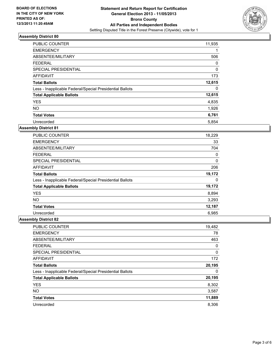

| <b>PUBLIC COUNTER</b>                                    | 11,935   |
|----------------------------------------------------------|----------|
| <b>EMERGENCY</b>                                         | 1        |
| ABSENTEE/MILITARY                                        | 506      |
| <b>FEDERAL</b>                                           | 0        |
| SPECIAL PRESIDENTIAL                                     | $\Omega$ |
| <b>AFFIDAVIT</b>                                         | 173      |
| <b>Total Ballots</b>                                     | 12,615   |
| Less - Inapplicable Federal/Special Presidential Ballots | 0        |
| <b>Total Applicable Ballots</b>                          | 12,615   |
| <b>YES</b>                                               | 4,835    |
| <b>NO</b>                                                | 1,926    |
| <b>Total Votes</b>                                       | 6,761    |
| Unrecorded                                               | 5,854    |

### **Assembly District 81**

| <b>PUBLIC COUNTER</b>                                    | 18,229 |
|----------------------------------------------------------|--------|
| <b>EMERGENCY</b>                                         | 33     |
| ABSENTEE/MILITARY                                        | 704    |
| <b>FEDERAL</b>                                           | 0      |
| <b>SPECIAL PRESIDENTIAL</b>                              | 0      |
| AFFIDAVIT                                                | 206    |
| <b>Total Ballots</b>                                     | 19,172 |
| Less - Inapplicable Federal/Special Presidential Ballots | 0      |
| <b>Total Applicable Ballots</b>                          | 19,172 |
| <b>YES</b>                                               | 8,894  |
| <b>NO</b>                                                | 3,293  |
| <b>Total Votes</b>                                       | 12,187 |
| Unrecorded                                               | 6,985  |

| PUBLIC COUNTER                                           | 19,482 |
|----------------------------------------------------------|--------|
| <b>EMERGENCY</b>                                         | 78     |
| ABSENTEE/MILITARY                                        | 463    |
| <b>FEDERAL</b>                                           | 0      |
| SPECIAL PRESIDENTIAL                                     | 0      |
| AFFIDAVIT                                                | 172    |
| <b>Total Ballots</b>                                     | 20,195 |
| Less - Inapplicable Federal/Special Presidential Ballots | 0      |
| <b>Total Applicable Ballots</b>                          | 20,195 |
| <b>YES</b>                                               | 8,302  |
| <b>NO</b>                                                | 3,587  |
| <b>Total Votes</b>                                       | 11,889 |
| Unrecorded                                               | 8,306  |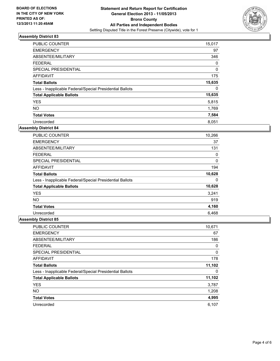

| <b>PUBLIC COUNTER</b>                                    | 15,017   |
|----------------------------------------------------------|----------|
| <b>EMERGENCY</b>                                         | 97       |
| ABSENTEE/MILITARY                                        | 346      |
| <b>FEDERAL</b>                                           | 0        |
| SPECIAL PRESIDENTIAL                                     | $\Omega$ |
| <b>AFFIDAVIT</b>                                         | 175      |
| <b>Total Ballots</b>                                     | 15,635   |
| Less - Inapplicable Federal/Special Presidential Ballots | 0        |
| <b>Total Applicable Ballots</b>                          | 15,635   |
| <b>YES</b>                                               | 5,815    |
| <b>NO</b>                                                | 1,769    |
| <b>Total Votes</b>                                       | 7,584    |
| Unrecorded                                               | 8,051    |

### **Assembly District 84**

| <b>PUBLIC COUNTER</b>                                    | 10,266 |
|----------------------------------------------------------|--------|
| <b>EMERGENCY</b>                                         | 37     |
| ABSENTEE/MILITARY                                        | 131    |
| <b>FEDERAL</b>                                           | 0      |
| <b>SPECIAL PRESIDENTIAL</b>                              | 0      |
| AFFIDAVIT                                                | 194    |
| <b>Total Ballots</b>                                     | 10,628 |
| Less - Inapplicable Federal/Special Presidential Ballots | 0      |
| <b>Total Applicable Ballots</b>                          | 10,628 |
| <b>YES</b>                                               | 3,241  |
| <b>NO</b>                                                | 919    |
| <b>Total Votes</b>                                       | 4,160  |
| Unrecorded                                               | 6,468  |

| <b>PUBLIC COUNTER</b>                                    | 10,671 |
|----------------------------------------------------------|--------|
| <b>EMERGENCY</b>                                         | 67     |
| ABSENTEE/MILITARY                                        | 186    |
| <b>FEDERAL</b>                                           | 0      |
| SPECIAL PRESIDENTIAL                                     | 0      |
| <b>AFFIDAVIT</b>                                         | 178    |
| <b>Total Ballots</b>                                     | 11,102 |
| Less - Inapplicable Federal/Special Presidential Ballots | 0      |
| <b>Total Applicable Ballots</b>                          | 11,102 |
| <b>YES</b>                                               | 3,787  |
| <b>NO</b>                                                | 1,208  |
| <b>Total Votes</b>                                       | 4,995  |
| Unrecorded                                               | 6,107  |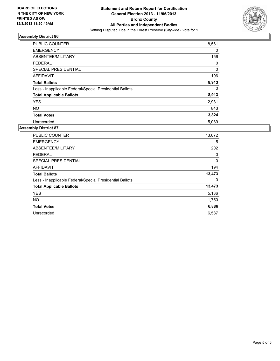

| <b>PUBLIC COUNTER</b>                                    | 8,561 |
|----------------------------------------------------------|-------|
| <b>EMERGENCY</b>                                         | 0     |
| ABSENTEE/MILITARY                                        | 156   |
| <b>FEDERAL</b>                                           | 0     |
| SPECIAL PRESIDENTIAL                                     | 0     |
| <b>AFFIDAVIT</b>                                         | 196   |
| <b>Total Ballots</b>                                     | 8,913 |
| Less - Inapplicable Federal/Special Presidential Ballots | 0     |
| <b>Total Applicable Ballots</b>                          | 8,913 |
| <b>YES</b>                                               | 2,981 |
| <b>NO</b>                                                | 843   |
| <b>Total Votes</b>                                       | 3,824 |
| Unrecorded                                               | 5,089 |

| <b>PUBLIC COUNTER</b>                                    | 13,072 |
|----------------------------------------------------------|--------|
| <b>EMERGENCY</b>                                         | 5      |
| ABSENTEE/MILITARY                                        | 202    |
| <b>FEDERAL</b>                                           | 0      |
| <b>SPECIAL PRESIDENTIAL</b>                              | 0      |
| <b>AFFIDAVIT</b>                                         | 194    |
| <b>Total Ballots</b>                                     | 13,473 |
| Less - Inapplicable Federal/Special Presidential Ballots | 0      |
| <b>Total Applicable Ballots</b>                          | 13,473 |
| <b>YES</b>                                               | 5,136  |
| <b>NO</b>                                                | 1,750  |
| <b>Total Votes</b>                                       | 6,886  |
| Unrecorded                                               | 6,587  |